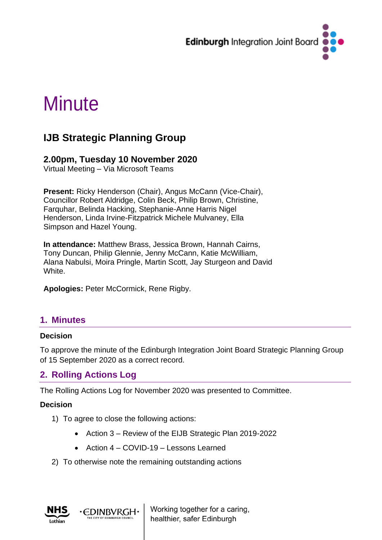

# **Minute**

## **IJB Strategic Planning Group**

#### **2.00pm, Tuesday 10 November 2020**

Virtual Meeting – Via Microsoft Teams

**Present:** Ricky Henderson (Chair), Angus McCann (Vice-Chair), Councillor Robert Aldridge, Colin Beck, Philip Brown, Christine, Farquhar, Belinda Hacking, Stephanie-Anne Harris Nigel Henderson, Linda Irvine-Fitzpatrick Michele Mulvaney, Ella Simpson and Hazel Young.

**In attendance:** Matthew Brass, Jessica Brown, Hannah Cairns, Tony Duncan, Philip Glennie, Jenny McCann, Katie McWilliam, Alana Nabulsi, Moira Pringle, Martin Scott, Jay Sturgeon and David White.

**Apologies:** Peter McCormick, Rene Rigby.

## **1. Minutes**

#### **Decision**

To approve the minute of the Edinburgh Integration Joint Board Strategic Planning Group of 15 September 2020 as a correct record.

## **2. Rolling Actions Log**

The Rolling Actions Log for November 2020 was presented to Committee.

#### **Decision**

1) To agree to close the following actions:

∙EDINBVRGH∙

- Action 3 Review of the EIJB Strategic Plan 2019-2022
- Action 4 COVID-19 Lessons Learned
- 2) To otherwise note the remaining outstanding actions



Working together for a caring, healthier, safer Edinburgh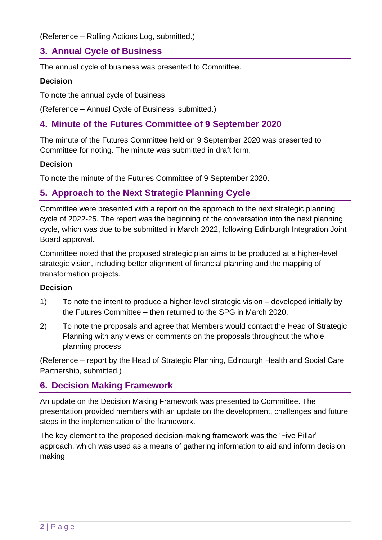(Reference – Rolling Actions Log, submitted.)

## **3. Annual Cycle of Business**

The annual cycle of business was presented to Committee.

#### **Decision**

To note the annual cycle of business.

(Reference – Annual Cycle of Business, submitted.)

## **4. Minute of the Futures Committee of 9 September 2020**

The minute of the Futures Committee held on 9 September 2020 was presented to Committee for noting. The minute was submitted in draft form.

#### **Decision**

To note the minute of the Futures Committee of 9 September 2020.

## **5. Approach to the Next Strategic Planning Cycle**

Committee were presented with a report on the approach to the next strategic planning cycle of 2022-25. The report was the beginning of the conversation into the next planning cycle, which was due to be submitted in March 2022, following Edinburgh Integration Joint Board approval.

Committee noted that the proposed strategic plan aims to be produced at a higher-level strategic vision, including better alignment of financial planning and the mapping of transformation projects.

#### **Decision**

- 1) To note the intent to produce a higher-level strategic vision developed initially by the Futures Committee – then returned to the SPG in March 2020.
- 2) To note the proposals and agree that Members would contact the Head of Strategic Planning with any views or comments on the proposals throughout the whole planning process.

(Reference – report by the Head of Strategic Planning, Edinburgh Health and Social Care Partnership, submitted.)

## **6. Decision Making Framework**

An update on the Decision Making Framework was presented to Committee. The presentation provided members with an update on the development, challenges and future steps in the implementation of the framework.

The key element to the proposed decision-making framework was the 'Five Pillar' approach, which was used as a means of gathering information to aid and inform decision making.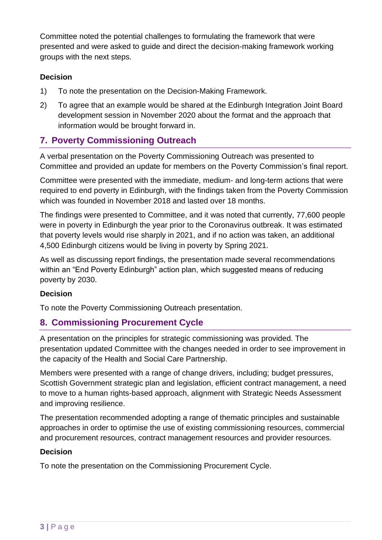Committee noted the potential challenges to formulating the framework that were presented and were asked to guide and direct the decision-making framework working groups with the next steps.

#### **Decision**

- 1) To note the presentation on the Decision-Making Framework.
- 2) To agree that an example would be shared at the Edinburgh Integration Joint Board development session in November 2020 about the format and the approach that information would be brought forward in.

## **7. Poverty Commissioning Outreach**

A verbal presentation on the Poverty Commissioning Outreach was presented to Committee and provided an update for members on the Poverty Commission's final report.

Committee were presented with the immediate, medium- and long-term actions that were required to end poverty in Edinburgh, with the findings taken from the Poverty Commission which was founded in November 2018 and lasted over 18 months.

The findings were presented to Committee, and it was noted that currently, 77,600 people were in poverty in Edinburgh the year prior to the Coronavirus outbreak. It was estimated that poverty levels would rise sharply in 2021, and if no action was taken, an additional 4,500 Edinburgh citizens would be living in poverty by Spring 2021.

As well as discussing report findings, the presentation made several recommendations within an "End Poverty Edinburgh" action plan, which suggested means of reducing poverty by 2030.

#### **Decision**

To note the Poverty Commissioning Outreach presentation.

## **8. Commissioning Procurement Cycle**

A presentation on the principles for strategic commissioning was provided. The presentation updated Committee with the changes needed in order to see improvement in the capacity of the Health and Social Care Partnership.

Members were presented with a range of change drivers, including; budget pressures, Scottish Government strategic plan and legislation, efficient contract management, a need to move to a human rights-based approach, alignment with Strategic Needs Assessment and improving resilience.

The presentation recommended adopting a range of thematic principles and sustainable approaches in order to optimise the use of existing commissioning resources, commercial and procurement resources, contract management resources and provider resources.

#### **Decision**

To note the presentation on the Commissioning Procurement Cycle.